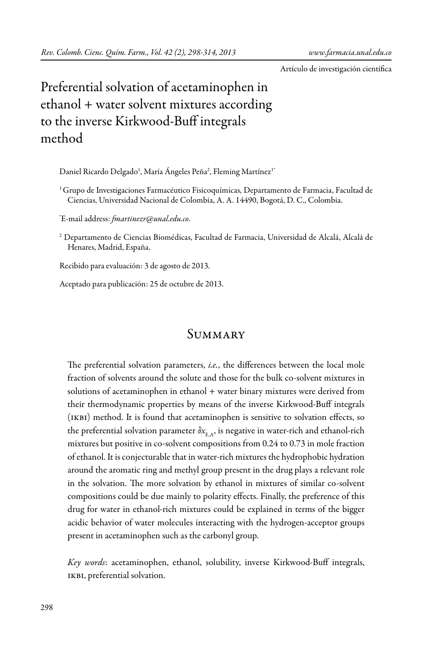Artículo de investigación científica

# Preferential solvation of acetaminophen in ethanol + water solvent mixtures according to the inverse Kirkwood-Buff integrals method

Daniel Ricardo Delgado<sup>1</sup>, María Angeles Peña<sup>2</sup>, Fleming Martínez<sup>1</sup>\*

<sup>1</sup> Grupo de Investigaciones Farmacéutico Fisicoquímicas, Departamento de Farmacia, Facultad de Ciencias, Universidad Nacional de Colombia, A. A. 14490, Bogotá, D. C., Colombia.

\* E-mail address: *fmartinezr@unal.edu.co*.

 $^{\rm 2}$  Departamento de Ciencias Biomédicas, Facultad de Farmacia, Universidad de Alcalá, Alcalá de Henares, Madrid, España.

Recibido para evaluación: 3 de agosto de 2013.

Aceptado para publicación: 25 de octubre de 2013.

# **SUMMARY**

The preferential solvation parameters, *i.e.*, the differences between the local mole fraction of solvents around the solute and those for the bulk co-solvent mixtures in solutions of acetaminophen in ethanol + water binary mixtures were derived from their thermodynamic properties by means of the inverse Kirkwood-Buff integrals (ikbi) method. It is found that acetaminophen is sensitive to solvation effects, so the preferential solvation parameter  $\delta x_{E,A}$ , is negative in water-rich and ethanol-rich mixtures but positive in co-solvent compositions from 0.24 to 0.73 in mole fraction of ethanol. It is conjecturable that in water-rich mixtures the hydrophobic hydration around the aromatic ring and methyl group present in the drug plays a relevant role in the solvation. The more solvation by ethanol in mixtures of similar co-solvent compositions could be due mainly to polarity effects. Finally, the preference of this drug for water in ethanol-rich mixtures could be explained in terms of the bigger acidic behavior of water molecules interacting with the hydrogen-acceptor groups present in acetaminophen such as the carbonyl group.

*Key words*: acetaminophen, ethanol, solubility, inverse Kirkwood-Buff integrals, ikbi, preferential solvation.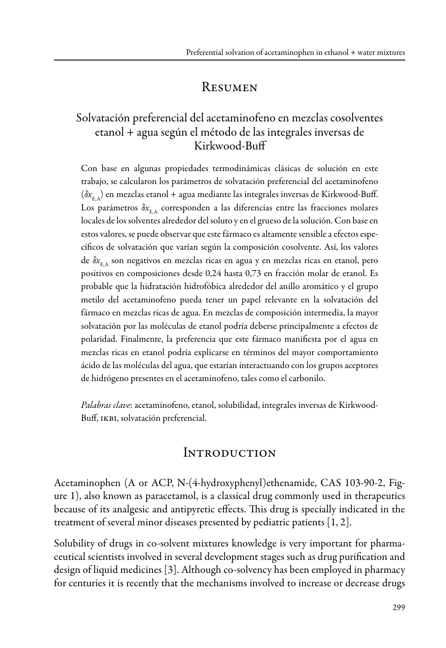# **RESUMEN**

## Solvatación preferencial del acetaminofeno en mezclas cosolventes etanol + agua según el método de las integrales inversas de Kirkwood-Buff

Con base en algunas propiedades termodinámicas clásicas de solución en este trabajo, se calcularon los parámetros de solvatación preferencial del acetaminofeno ( $\delta x_{E_{\text{A}}}$ ) en mezclas etanol + agua mediante las integrales inversas de Kirkwood-Buff. Los parámetros  $\delta x_{E_A}$  corresponden a las diferencias entre las fracciones molares locales de los solventes alrededor del soluto y en el grueso de la solución. Con base en estos valores, se puede observar que este fármaco es altamente sensible a efectos específicos de solvatación que varían según la composición cosolvente. Así, los valores de  $\delta x_{E,A}$  son negativos en mezclas ricas en agua y en mezclas ricas en etanol, pero positivos en composiciones desde 0,24 hasta 0,73 en fracción molar de etanol. Es probable que la hidratación hidrofóbica alrededor del anillo aromático y el grupo metilo del acetaminofeno pueda tener un papel relevante en la solvatación del fármaco en mezclas ricas de agua. En mezclas de composición intermedia, la mayor solvatación por las moléculas de etanol podría deberse principalmente a efectos de polaridad. Finalmente, la preferencia que este fármaco manifiesta por el agua en mezclas ricas en etanol podría explicarse en términos del mayor comportamiento ácido de las moléculas del agua, que estarían interactuando con los grupos aceptores de hidrógeno presentes en el acetaminofeno, tales como el carbonilo.

*Palabras clave*: acetaminofeno, etanol, solubilidad, integrales inversas de Kirkwood-Buff, IKBI, solvatación preferencial.

## **INTRODUCTION**

Acetaminophen (A or ACP, N-(4-hydroxyphenyl)ethenamide, CAS 103-90-2, Figure 1), also known as paracetamol, is a classical drug commonly used in therapeutics because of its analgesic and antipyretic effects. This drug is specially indicated in the treatment of several minor diseases presented by pediatric patients [1, 2].

Solubility of drugs in co-solvent mixtures knowledge is very important for pharmaceutical scientists involved in several development stages such as drug purification and design of liquid medicines [3]. Although co-solvency has been employed in pharmacy for centuries it is recently that the mechanisms involved to increase or decrease drugs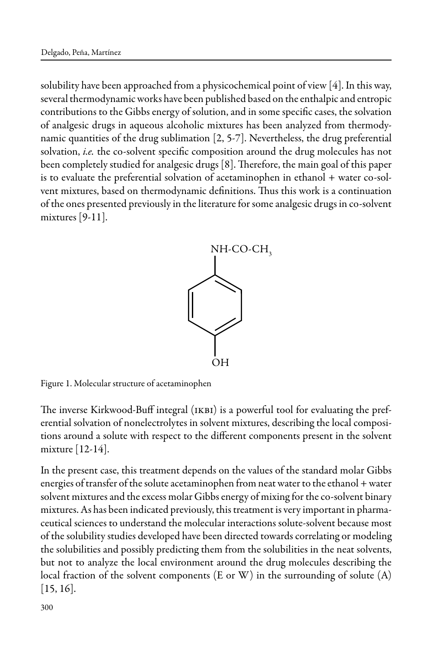solubility have been approached from a physicochemical point of view [4]. In this way, several thermodynamic works have been published based on the enthalpic and entropic contributions to the Gibbs energy of solution, and in some specific cases, the solvation of analgesic drugs in aqueous alcoholic mixtures has been analyzed from thermodynamic quantities of the drug sublimation [2, 5-7]. Nevertheless, the drug preferential solvation, *i.e.* the co-solvent specific composition around the drug molecules has not been completely studied for analgesic drugs [8]. Therefore, the main goal of this paper is to evaluate the preferential solvation of acetaminophen in ethanol + water co-solvent mixtures, based on thermodynamic definitions. Thus this work is a continuation of the ones presented previously in the literature for some analgesic drugs in co-solvent mixtures [9-11].



Figure 1. Molecular structure of acetaminophen

The inverse Kirkwood-Buff integral (ikbi) is a powerful tool for evaluating the preferential solvation of nonelectrolytes in solvent mixtures, describing the local compositions around a solute with respect to the different components present in the solvent mixture [12-14].

In the present case, this treatment depends on the values of the standard molar Gibbs energies of transfer of the solute acetaminophen from neat water to the ethanol + water solvent mixtures and the excess molar Gibbs energy of mixing for the co-solvent binary mixtures. As has been indicated previously, this treatment is very important in pharmaceutical sciences to understand the molecular interactions solute-solvent because most of the solubility studies developed have been directed towards correlating or modeling the solubilities and possibly predicting them from the solubilities in the neat solvents, but not to analyze the local environment around the drug molecules describing the local fraction of the solvent components (E or W) in the surrounding of solute (A)  $[15, 16]$ .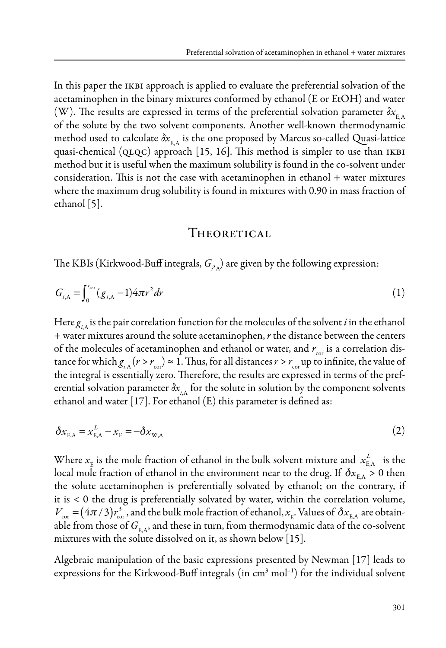In this paper the IKBI approach is applied to evaluate the preferential solvation of the acetaminophen in the binary mixtures conformed by ethanol (E or EtOH) and water (W). The results are expressed in terms of the preferential solvation parameter  $\delta x_{E_A}$ of the solute by the two solvent components. Another well-known thermodynamic method used to calculate  $\delta x_{E_A}$  is the one proposed by Marcus so-called Quasi-lattice quasi-chemical ( $QLQC$ ) approach [15, 16]. This method is simpler to use than IKBI method but it is useful when the maximum solubility is found in the co-solvent under consideration. This is not the case with acetaminophen in ethanol + water mixtures where the maximum drug solubility is found in mixtures with 0.90 in mass fraction of ethanol [5].

#### **THEORETICAL**

The KBIs (Kirkwood-Buff integrals,  $G_{\rho_A}$ ) are given by the following expression:

$$
G_{i, A} = \int_0^{r_{\text{cor}}} (g_{i, A} - 1) 4 \pi r^2 dr \tag{1}
$$

Here  $g_{iA}$  is the pair correlation function for the molecules of the solvent *i* in the ethanol + water mixtures around the solute acetaminophen, *r* the distance between the centers of the molecules of acetaminophen and ethanol or water, and  $r_{\text{cor}}$  is a correlation distance for which  $g_{iA} (r > r_{cor}) \approx 1$ . Thus, for all distances  $r > r_{cor}$  up to infinite, the value of the integral is essentially zero. Therefore, the results are expressed in terms of the preferential solvation parameter  $\delta x_{iA}$  for the solute in solution by the component solvents ethanol and water  $[17]$ . For ethanol  $(E)$  this parameter is defined as:

$$
\delta x_{\text{E,A}} = x_{\text{E,A}}^L - x_{\text{E}} = -\delta x_{\text{W,A}}
$$
\n<sup>(2)</sup>

Where  $x_{\rm E}$  is the mole fraction of ethanol in the bulk solvent mixture and  $x_{\rm E,A}^L$  is the local mole fraction of ethanol in the environment near to the drug. If  $\delta x_{EA} > 0$  then the solute acetaminophen is preferentially solvated by ethanol; on the contrary, if it is < 0 the drug is preferentially solvated by water, within the correlation volume,  $V_{\rm cor}$  =  $(4\pi/3) r_{\rm cor}^3$  , and the bulk mole fraction of ethanol,  $x_{\rm E}$ . Values of  $\delta x_{\rm E,A}$  are obtainable from those of  $G_{E,A}$ , and these in turn, from thermodynamic data of the co-solvent mixtures with the solute dissolved on it, as shown below [15].

Algebraic manipulation of the basic expressions presented by Newman [17] leads to expressions for the Kirkwood-Buff integrals (in cm<sup>3</sup> mol<sup>-1</sup>) for the individual solvent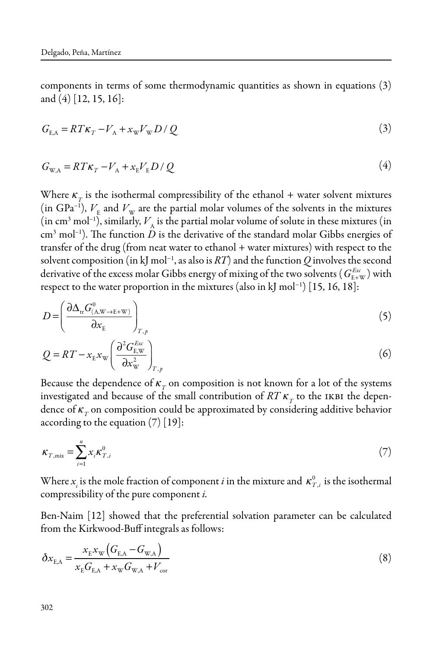components in terms of some thermodynamic quantities as shown in equations (3) and (4) [12, 15, 16]:

$$
G_{\text{E,A}} = RT\kappa_T - V_{\text{A}} + x_{\text{w}}V_{\text{w}}D/Q \tag{3}
$$

$$
G_{\rm W,A} = RT\kappa_{T} - V_{\rm A} + x_{\rm E}V_{\rm E}D/Q
$$
\n<sup>(4)</sup>

Where  $\kappa_{\tau}$  is the isothermal compressibility of the ethanol + water solvent mixtures (in GPa<sup>-1</sup>),  $V_{\rm E}$  and  $V_{\rm W}$  are the partial molar volumes of the solvents in the mixtures (in cm<sup>3</sup> mol<sup>-1</sup>), similarly,  $V_A$  is the partial molar volume of solute in these mixtures (in  $\text{cm}^3 \text{ mol}^{-1}$ ). The function  $D$  is the derivative of the standard molar Gibbs energies of transfer of the drug (from neat water to ethanol + water mixtures) with respect to the solvent composition (in kJ mol−1, as also is *RT*) and the function *Q* involves the second derivative of the excess molar Gibbs energy of mixing of the two solvents (  $G_{\text{\tiny E+W}}^{\text{\tiny Exc}}$  ) with respect to the water proportion in the mixtures (also in kJ mol−1) [15, 16, 18]:

$$
D = \left(\frac{\partial \Delta_{\text{tr}} G_{(A, \text{W} \to \text{E+W})}^{0}}{\partial x_{\text{E}}}\right)_{T, p}
$$
\n
$$
\tag{5}
$$

$$
Q = RT - x_{\rm E} x_{\rm W} \left( \frac{\partial^2 G_{\rm E,W}^{E_{\rm W}}}{\partial x_{\rm W}^2} \right)_{T,p}
$$
 (6)

Because the dependence of  $\kappa<sub>T</sub>$  on composition is not known for a lot of the systems investigated and because of the small contribution of  $RTK<sub>T</sub>$  to the IKBI the dependence of  $\kappa<sub>T</sub>$  on composition could be approximated by considering additive behavior according to the equation (7) [19]:

$$
\kappa_{T,\text{mix}} = \sum_{i=1}^{n} x_i \kappa_{T,i}^0 \tag{7}
$$

Where  $x_i$  is the mole fraction of component *i* in the mixture and  $\kappa_{T,i}^0$  is the isothermal compressibility of the pure component *i.*

Ben-Naim [12] showed that the preferential solvation parameter can be calculated from the Kirkwood-Buff integrals as follows:

$$
\delta x_{\rm E,A} = \frac{x_{\rm E} x_{\rm W} (G_{\rm E,A} - G_{\rm W,A})}{x_{\rm E} G_{\rm E,A} + x_{\rm W} G_{\rm W,A} + V_{\rm cor}}
$$
(8)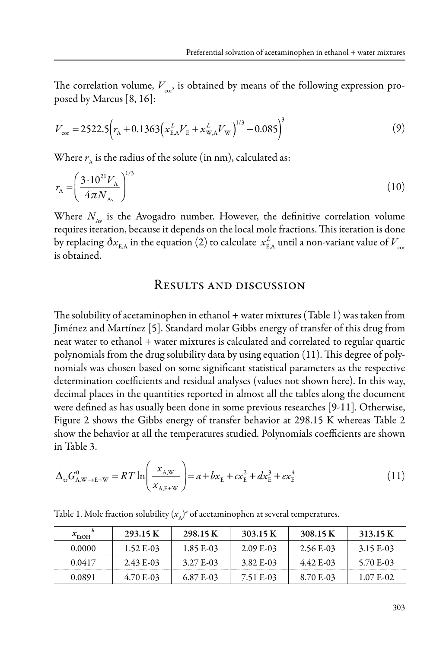The correlation volume,  $V_{\infty}$ , is obtained by means of the following expression proposed by Marcus [8, 16]:

$$
V_{\text{cor}} = 2522.5 \left( r_{\text{A}} + 0.1363 \left( x_{\text{E,A}}^L V_{\text{E}} + x_{\text{W,A}}^L V_{\text{W}} \right)^{1/3} - 0.085 \right)^3 \tag{9}
$$

Where  $r_{\rm A}$  is the radius of the solute (in nm), calculated as:

$$
r_{\rm A} = \left(\frac{3 \cdot 10^{21} V_{\rm A}}{4 \pi N_{\rm Av}}\right)^{1/3} \tag{10}
$$

Where  $N_{Av}$  is the Avogadro number. However, the definitive correlation volume requires iteration, because it depends on the local mole fractions. This iteration is done by replacing  $\delta x_{\rm E,A}$  in the equation (2) to calculate  $\,_{\rm E,A}^L$  until a non-variant value of  $V_{\rm cor}$ is obtained.

#### Results and discussion

The solubility of acetaminophen in ethanol + water mixtures (Table 1) was taken from Jiménez and Martínez [5]. Standard molar Gibbs energy of transfer of this drug from neat water to ethanol + water mixtures is calculated and correlated to regular quartic polynomials from the drug solubility data by using equation (11). This degree of polynomials was chosen based on some significant statistical parameters as the respective determination coefficients and residual analyses (values not shown here). In this way, decimal places in the quantities reported in almost all the tables along the document were defined as has usually been done in some previous researches [9-11]. Otherwise, Figure 2 shows the Gibbs energy of transfer behavior at 298.15 K whereas Table 2 show the behavior at all the temperatures studied. Polynomials coefficients are shown in Table 3.

$$
\Delta_{\rm tr} G_{\rm A,W \to E+W}^0 = RT \ln \left( \frac{x_{\rm A,W}}{x_{\rm A,E+W}} \right) = a + bx_{\rm E} + cx_{\rm E}^2 + dx_{\rm E}^3 + ex_{\rm E}^4 \tag{11}
$$

| $x_{FforOH}$ | 293.15 K   | 298.15 K  | 303.15 K  | 308.15 K    | 313.15 K  |
|--------------|------------|-----------|-----------|-------------|-----------|
| 0.0000       | 1.52 E-03  | 1.85 E-03 | 2.09 E-03 | $2.56E-03$  | 3.15 E-03 |
| 0.0417       | $2.43E-03$ | 3.27 E-03 | 3.82 E-03 | $4.42$ E-03 | 5.70 E-03 |
| 0.0891       | 4.70 E-03  | 6.87 E-03 | 7.51 E-03 | 8.70 E-03   | 1.07 E-02 |

Table 1. Mole fraction solubility  $(x_{\text{A}})^a$  of acetaminophen at several temperatures.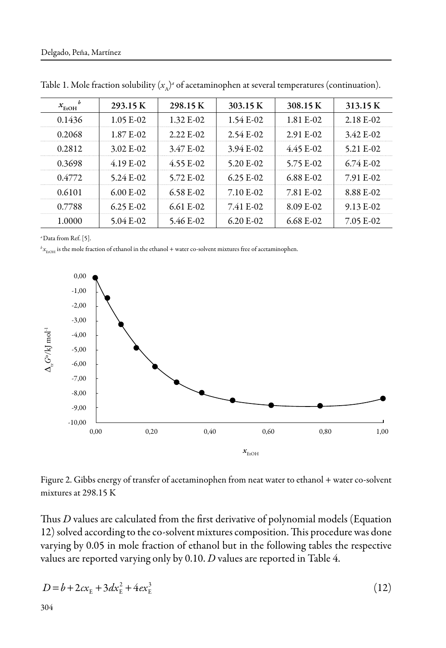| $x_{\text{EtOH}}$ | 293.15 K      | 298.15 K                | 303.15 K    | 308.15 K    | 313.15 K    |
|-------------------|---------------|-------------------------|-------------|-------------|-------------|
| 0.1436            | $1.05 E-02$   | 1.32 E-02               | $1.54E-02$  | 1.81 E-02   | $2.18$ E-02 |
| 0.2068            | 1.87 E-02     | $2.22$ F <sub>-02</sub> | $2.54E-02$  | 2.91 E-02   | $3.42$ E-02 |
| 0.2812            | $3.02$ E-02   | 3.47 E-02               | $3.94 E-02$ | $4.45$ E-02 | 5.21 E-02   |
| 0.3698            | $4.19E-02$    | $4.55 E - 02$           | 5.20 $E-02$ | 5.75 E-02   | $6.74E-02$  |
| 0.4772            | $5.24 E-02$   | 5.72 E-02               | $6.25 E-02$ | 6.88 E-02   | 7.91 E-02   |
| 0.6101            | $6.00 F - 02$ | $6.58$ E-02             | 7.10 E-02   | 7.81 E-02   | 8.88 E-02   |
| 0.7788            | $6.25 E-02$   | $6.61$ E-02             | 7.41 E-02   | 8.09 E-02   | $9.13 E-02$ |
| 1.0000            | $5.04 E - 02$ | 5.46 E-02               | $6.20$ E-02 | $6.68$ E-02 | 7.05 E-02   |

Table 1. Mole fraction solubility  $(x_{\text{A}})$ <sup>a</sup> of acetaminophen at several temperatures (continuation).

*<sup>a</sup>*Data from Ref. [5].

 ${}^b x_{\text{EOH}}$  is the mole fraction of ethanol in the ethanol + water co-solvent mixtures free of acetaminophen.



Figure 2. Gibbs energy of transfer of acetaminophen from neat water to ethanol + water co-solvent mixtures at 298.15 K

Thus *D* values are calculated from the first derivative of polynomial models (Equation 12) solved according to the co-solvent mixtures composition. This procedure was done varying by 0.05 in mole fraction of ethanol but in the following tables the respective values are reported varying only by 0.10. *D* values are reported in Table 4.

$$
D = b + 2cx_{E} + 3dx_{E}^{2} + 4ex_{E}^{3}
$$
 (12)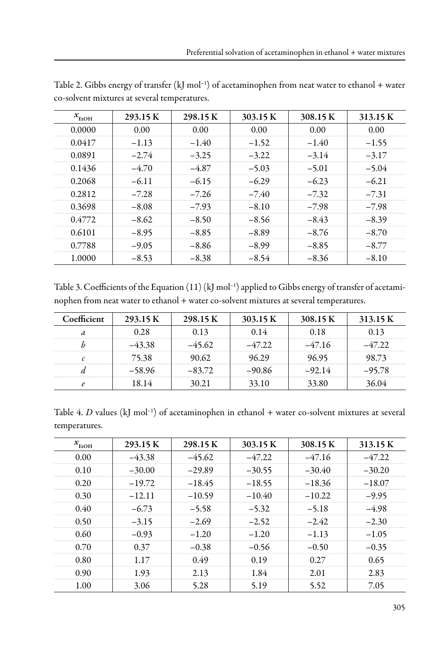| $x_{\text{EtOH}}$ | 293.15 K | 298.15K | 303.15 K | 308.15 K | 313.15 K |
|-------------------|----------|---------|----------|----------|----------|
| 0.0000            | 0.00     | 0.00    | 0.00     | 0.00     | 0.00     |
| 0.0417            | $-1.13$  | $-1.40$ | $-1.52$  | $-1.40$  | $-1.55$  |
| 0.0891            | $-2.74$  | $-3.25$ | $-3.22$  | $-3.14$  | $-3.17$  |
| 0.1436            | $-4.70$  | $-4.87$ | $-5.03$  | $-5.01$  | $-5.04$  |
| 0.2068            | $-6.11$  | $-6.15$ | $-6.29$  | $-6.23$  | $-6.21$  |
| 0.2812            | $-7.28$  | $-7.26$ | $-7.40$  | $-7.32$  | $-7.31$  |
| 0.3698            | $-8.08$  | $-7.93$ | $-8.10$  | $-7.98$  | $-7.98$  |
| 0.4772            | $-8.62$  | $-8.50$ | $-8.56$  | $-8.43$  | $-8.39$  |
| 0.6101            | $-8.95$  | $-8.85$ | $-8.89$  | $-8.76$  | $-8.70$  |
| 0.7788            | $-9.05$  | $-8.86$ | $-8.99$  | $-8.85$  | $-8.77$  |
| 1.0000            | $-8.53$  | $-8.38$ | $-8.54$  | $-8.36$  | $-8.10$  |

Table 2. Gibbs energy of transfer  $(kJ \text{ mol}^{-1})$  of acetaminophen from neat water to ethanol + water co-solvent mixtures at several temperatures.

Table 3. Coefficients of the Equation (11) (kJ mol<sup>-1</sup>) applied to Gibbs energy of transfer of acetaminophen from neat water to ethanol + water co-solvent mixtures at several temperatures.

| Coefficient | 293.15 K | 298.15 K       | 303.15 K | 308.15 K | 313.15 K |
|-------------|----------|----------------|----------|----------|----------|
|             |          | 0 13           | 14 (     |          | 113      |
|             |          | $-45.62$       | -47 22   | $-4716$  |          |
|             | 75.38    | $0.62^{\circ}$ | 629      | IG 95    | X 73     |
|             | -58.96   | $-83.72$       | $-90.86$ | $-92.14$ | $-95.78$ |
|             |          | 121            | 33.10    | 380      |          |

Table 4. *D* values (kJ mol<sup>-1</sup>) of acetaminophen in ethanol + water co-solvent mixtures at several temperatures.

| $x_{\text{EtOH}}$ | 293.15 K | 298.15 K | 303.15 K | 308.15 K | 313.15 K |
|-------------------|----------|----------|----------|----------|----------|
| 0.00              | $-43.38$ | $-45.62$ | $-47.22$ | $-47.16$ | $-47.22$ |
| 0.10              | $-30.00$ | $-29.89$ | $-30.55$ | $-30.40$ | $-30.20$ |
| 0.20              | $-19.72$ | $-18.45$ | $-18.55$ | $-18.36$ | $-18.07$ |
| 0.30              | $-12.11$ | $-10.59$ | $-10.40$ | $-10.22$ | $-9.95$  |
| 0.40              | $-6.73$  | $-5.58$  | $-5.32$  | $-5.18$  | $-4.98$  |
| 0.50              | $-3.15$  | $-2.69$  | $-2.52$  | $-2.42$  | $-2.30$  |
| 0.60              | $-0.93$  | $-1.20$  | $-1.20$  | $-1.13$  | $-1.05$  |
| 0.70              | 0.37     | $-0.38$  | $-0.56$  | $-0.50$  | $-0.35$  |
| 0.80              | 1.17     | 0.49     | 0.19     | 0.27     | 0.65     |
| 0.90              | 1.93     | 2.13     | 1.84     | 2.01     | 2.83     |
| 1.00              | 3.06     | 5.28     | 5.19     | 5.52     | 7.05     |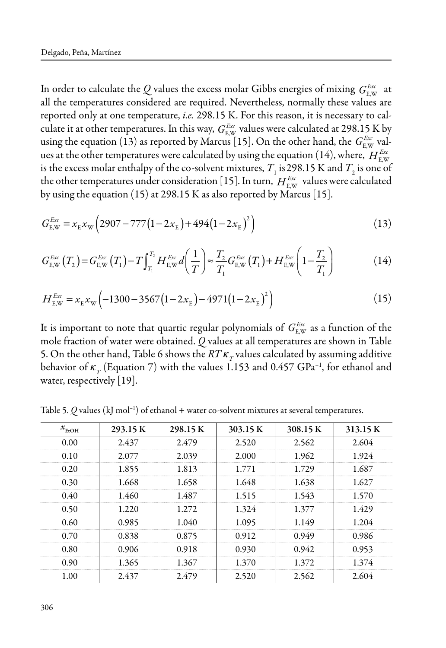In order to calculate the  $Q$  values the excess molar Gibbs energies of mixing  $G_{\text{E,W}}^{E_{\text{xx}}}$  at all the temperatures considered are required. Nevertheless, normally these values are reported only at one temperature, *i.e.* 298.15 K. For this reason, it is necessary to calculate it at other temperatures. In this way,  $G_{\text{E,W}}^{Exc}$  values were calculated at 298.15 K by using the equation (13) as reported by Marcus [15]. On the other hand, the  $G^{E_{\rm xc}}_{\rm E, W}$  values at the other temperatures were calculated by using the equation (14), where,  $H_\text{\tiny EW}^\text{\tiny Exc}$ is the excess molar enthalpy of the co-solvent mixtures,  $T_1$  is 298.15 K and  $T_2$  is one of the other temperatures under consideration [15]. In turn,  $H_{E,\text{W}}^{E_\text{xx}}$  values were calculated by using the equation (15) at 298.15 K as also reported by Marcus [15].

$$
G_{\text{E,W}}^{\text{Ex}} = x_{\text{E}} x_{\text{W}} \left( 2907 - 777 \left( 1 - 2x_{\text{E}} \right) + 494 \left( 1 - 2x_{\text{E}} \right)^2 \right) \tag{13}
$$

$$
G_{\text{E,W}}^{Exc}(T_2) = G_{\text{E,W}}^{Exc}(T_1) - T \int_{T_1}^{T_2} H_{\text{E,W}}^{Exc} d\left(\frac{1}{T}\right) \approx \frac{T_2}{T_1} G_{\text{E,W}}^{Exc}(T_1) + H_{\text{E,W}}^{Exc}\left(1 - \frac{T_2}{T_1}\right)
$$
(14)

$$
H_{\text{E,W}}^{E_{\text{xx}}} = x_{\text{E}} x_{\text{W}} \left( -1300 - 3567 \left( 1 - 2 x_{\text{E}} \right) - 4971 \left( 1 - 2 x_{\text{E}} \right)^2 \right) \tag{15}
$$

It is important to note that quartic regular polynomials of  $G_{\text{\tiny E,W}}^{\text{\tiny Exc}}$  as a function of the mole fraction of water were obtained. *Q* values at all temperatures are shown in Table 5. On the other hand, Table 6 shows the  $RT\kappa_r$  values calculated by assuming additive behavior of  $\kappa_T$  (Equation 7) with the values 1.153 and 0.457 GPa<sup>-1</sup>, for ethanol and water, respectively [19].

Table 5.  $Q$  values (kJ mol<sup>-1</sup>) of ethanol + water co-solvent mixtures at several temperatures.

| $x$ <sub>EtOH</sub> | 293.15 K | 298.15 K | 303.15 K | 308.15 K | 313.15 K |
|---------------------|----------|----------|----------|----------|----------|
| 0.00                | 2.437    | 2.479    | 2.520    | 2.562    | 2.604    |
| 0.10                | 2.077    | 2.039    | 2.000    | 1.962    | 1.924    |
| 0.20                | 1.855    | 1.813    | 1.771    | 1.729    | 1.687    |
| 0.30                | 1.668    | 1.658    | 1.648    | 1.638    | 1.627    |
| 0.40                | 1.460    | 1.487    | 1.515    | 1.543    | 1.570    |
| 0.50                | 1.220    | 1.272    | 1.324    | 1.377    | 1.429    |
| 0.60                | 0.985    | 1.040    | 1.095    | 1.149    | 1.204    |
| 0.70                | 0.838    | 0.875    | 0.912    | 0.949    | 0.986    |
| 0.80                | 0.906    | 0.918    | 0.930    | 0.942    | 0.953    |
| 0.90                | 1.365    | 1.367    | 1.370    | 1.372    | 1.374    |
| 1.00                | 2.437    | 2.479    | 2.520    | 2.562    | 2.604    |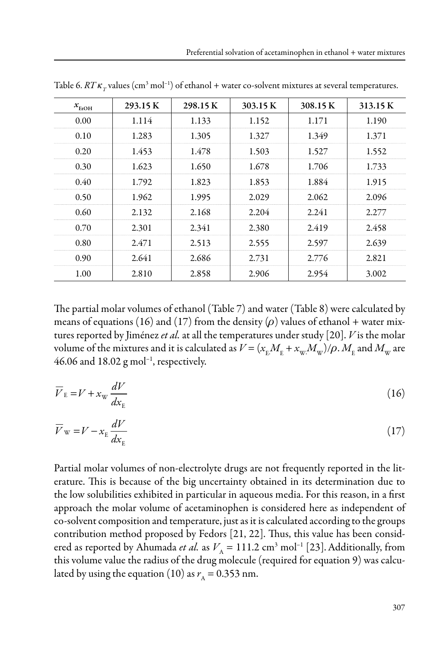| $x_{\text{EtOH}}$ | 293.15K | 298.15 K | 303.15 K | 308.15 K | 313.15 K |
|-------------------|---------|----------|----------|----------|----------|
| 0.00              | 1.114   | 1.133    | 1.152    | 1.171    | 1.190    |
| 0.10              | 1.283   | 1.305    | 1.327    | 1.349    | 1.371    |
| 0.20              | 1.453   | 1.478    | 1.503    | 1.527    | 1.552    |
| 0.30              | 1.623   | 1.650    | 1.678    | 1.706    | 1.733    |
| 0.40              | 1.792   | 1.823    | 1.853    | 1.884    | 1.915    |
| 0.50              | 1.962   | 1.995    | 2.029    | 2.062    | 2.096    |
| 0.60              | 2.132   | 2.168    | 2.204    | 2.241    | 2.277    |
| 0.70              | 2.301   | 2.341    | 2.380    | 2.419    | 2.458    |
| 0.80              | 2.471   | 2.513    | 2.555    | 2.597    | 2.639    |
| 0.90              | 2.641   | 2.686    | 2.731    | 2.776    | 2.821    |
| 1.00              | 2.810   | 2.858    | 2.906    | 2.954    | 3.002    |

Table 6.  $RT\kappa_{_T}$ values (cm<sup>3</sup> mol<sup>-1</sup>) of ethanol + water co-solvent mixtures at several temperatures.

The partial molar volumes of ethanol (Table 7) and water (Table 8) were calculated by means of equations (16) and (17) from the density ( $\rho$ ) values of ethanol + water mixtures reported by Jiménez *et al.* at all the temperatures under study [20]. *V* is the molar volume of the mixtures and it is calculated as  $V$  = ( $x^{}_{\rm E}$   $M^{}_{\rm E}$  +  $x^{}_{\rm W}$   $M^{}_{\rm W}$ )/ $\rho$  .  $M^{}_{\rm E}$  and  $M^{}_{\rm W}$  are 46.06 and 18.02  $g$  mol<sup>-1</sup>, respectively.

$$
\overline{V}_{\rm E} = V + x_{\rm w} \frac{dV}{dx_{\rm E}} \tag{16}
$$

$$
\overline{V}_{\rm w} = V - x_{\rm E} \frac{dV}{dx_{\rm E}} \tag{17}
$$

Partial molar volumes of non-electrolyte drugs are not frequently reported in the literature. This is because of the big uncertainty obtained in its determination due to the low solubilities exhibited in particular in aqueous media. For this reason, in a first approach the molar volume of acetaminophen is considered here as independent of co-solvent composition and temperature, just as it is calculated according to the groups contribution method proposed by Fedors [21, 22]. Thus, this value has been considered as reported by Ahumada *et al.* as  $V_A = 111.2 \text{ cm}^3 \text{ mol}^{-1}$  [23]. Additionally, from this volume value the radius of the drug molecule (required for equation 9) was calculated by using the equation (10) as  $r_A = 0.353$  nm.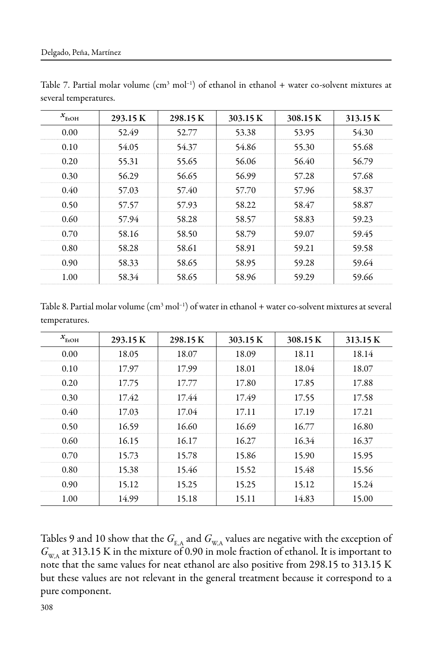| $x_{\text{EtOH}}$ | 293.15 K | 298.15 K | 303.15 K | 308.15 K | 313.15 K |
|-------------------|----------|----------|----------|----------|----------|
| 0.00              | 52.49    | 52.77    | 53.38    | 53.95    | 54.30    |
| 0.10              | 54.05    | 54.37    | 54.86    | 55.30    | 55.68    |
| 0.20              | 55.31    | 55.65    | 56.06    | 56.40    | 56.79    |
| 0.30              | 56.29    | 56.65    | 56.99    | 57.28    | 57.68    |
| 0.40              | 57.03    | 57.40    | 57.70    | 57.96    | 58.37    |
| 0.50              | 57.57    | 57.93    | 58.22    | 58.47    | 58.87    |
| 0.60              | 57.94    | 58.28    | 58.57    | 58.83    | 59.23    |
| 0.70              | 58.16    | 58.50    | 58.79    | 59.07    | 59.45    |
| 0.80              | 58.28    | 58.61    | 58.91    | 59.21    | 59.58    |
| 0.90              | 58.33    | 58.65    | 58.95    | 59.28    | 59.64    |
| 1.00              | 58.34    | 58.65    | 58.96    | 59.29    | 59.66    |

Table 7. Partial molar volume  $(cm^3 \text{ mol}^{-1})$  of ethanol in ethanol + water co-solvent mixtures at several temperatures.

Table 8. Partial molar volume  $(cm^3 mol^{-1})$  of water in ethanol + water co-solvent mixtures at several temperatures.

| $x$ <sub>EtOH</sub> | 293.15 K | 298.15 K | 303.15 K | 308.15 K | 313.15 K |
|---------------------|----------|----------|----------|----------|----------|
| 0.00                | 18.05    | 18.07    | 18.09    | 18.11    | 18.14    |
| 0.10                | 17.97    | 17.99    | 18.01    | 18.04    | 18.07    |
| 0.20                | 17.75    | 17.77    | 17.80    | 17.85    | 17.88    |
| 0.30                | 17.42    | 17.44    | 17.49    | 17.55    | 17.58    |
| 0.40                | 17.03    | 17.04    | 17.11    | 17.19    | 17.21    |
| 0.50                | 16.59    | 16.60    | 16.69    | 16.77    | 16.80    |
| 0.60                | 16.15    | 16.17    | 16.27    | 16.34    | 16.37    |
| 0.70                | 15.73    | 15.78    | 15.86    | 15.90    | 15.95    |
| 0.80                | 15.38    | 15.46    | 15.52    | 15.48    | 15.56    |
| 0.90                | 15.12    | 15.25    | 15.25    | 15.12    | 15.24    |
| 1.00                | 14.99    | 15.18    | 15.11    | 14.83    | 15.00    |

Tables 9 and 10 show that the  $G_{\text{EA}}$  and  $G_{\text{WA}}$  values are negative with the exception of  $G_{W,A}$  at 313.15 K in the mixture of 0.90 in mole fraction of ethanol. It is important to note that the same values for neat ethanol are also positive from 298.15 to 313.15 K but these values are not relevant in the general treatment because it correspond to a pure component.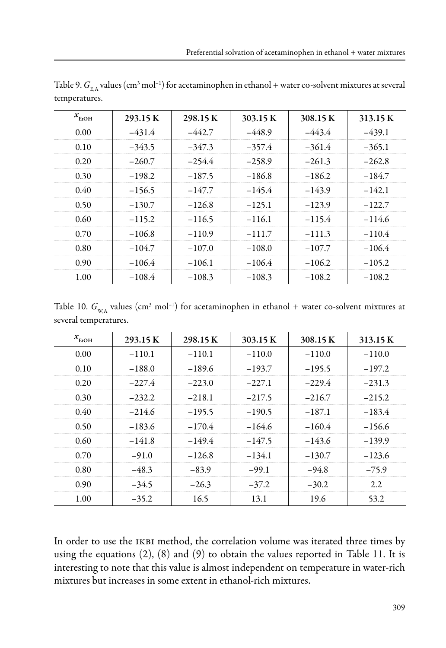| $x_{\text{EtoH}}$ | 293.15 K | 298.15K  | 303.15 K | 308.15 K | 313.15 K |
|-------------------|----------|----------|----------|----------|----------|
| 0.00              | $-431.4$ | $-442.7$ | $-448.9$ | $-443.4$ | $-439.1$ |
| 0.10              | $-343.5$ | $-347.3$ | $-357.4$ | $-361.4$ | $-365.1$ |
| 0.20              | $-260.7$ | $-254.4$ | $-258.9$ | $-261.3$ | $-262.8$ |
| 0.30              | $-198.2$ | $-187.5$ | $-186.8$ | $-186.2$ | $-184.7$ |
| 0.40              | $-156.5$ | $-147.7$ | $-145.4$ | $-143.9$ | $-142.1$ |
| 0.50              | $-130.7$ | $-126.8$ | $-125.1$ | $-123.9$ | $-122.7$ |
| 0.60              | $-115.2$ | $-116.5$ | $-116.1$ | $-115.4$ | $-114.6$ |
| 0.70              | $-106.8$ | $-110.9$ | $-111.7$ | $-111.3$ | $-110.4$ |
| 0.80              | $-104.7$ | $-107.0$ | $-108.0$ | $-107.7$ | $-106.4$ |
| 0.90              | $-106.4$ | $-106.1$ | $-106.4$ | $-106.2$ | $-105.2$ |
| 1.00              | $-108.4$ | $-108.3$ | $-108.3$ | $-108.2$ | $-108.2$ |

Table 9.  $G_{\rm E,A}$  values (cm<sup>3</sup> mol<sup>–1</sup>) for acetaminophen in ethanol + water co-solvent mixtures at several temperatures.

Table 10.  $G_{\text{w},\text{A}}$  values (cm<sup>3</sup> mol<sup>-1</sup>) for acetaminophen in ethanol + water co-solvent mixtures at several temperatures.

| $x_{\text{EtOH}}$ | 293.15 K  | 298.15 K  | 303.15 K | 308.15 K | 313.15 K |
|-------------------|-----------|-----------|----------|----------|----------|
| 0.00              | $-110.1$  | $-110.1$  | $-110.0$ | $-110.0$ | $-110.0$ |
| 0.10              | $-188.0$  | $-189.6$  | $-193.7$ | $-195.5$ | $-197.2$ |
| 0.20              | $-227.4$  | $-223.0$  | $-227.1$ | $-229.4$ | $-231.3$ |
| 0.30              | $-232.2$  | $-2.18.1$ | $-217.5$ | $-216.7$ | $-215.2$ |
| 0.40              | $-2.14.6$ | $-195.5$  | $-190.5$ | $-187.1$ | $-183.4$ |
| 0.50              | $-183.6$  | $-170.4$  | $-164.6$ | $-160.4$ | $-156.6$ |
| 0.60              | $-141.8$  | $-149.4$  | $-147.5$ | $-143.6$ | $-139.9$ |
| 0.70              | $-91.0$   | $-126.8$  | $-134.1$ | $-130.7$ | $-123.6$ |
| 0.80              | $-48.3$   | $-83.9$   | $-99.1$  | $-94.8$  | $-75.9$  |
| 0.90              | $-34.5$   | $-26.3$   | $-37.2$  | $-30.2$  | 2.2      |
| 1.00              | $-35.2$   | 16.5      | 13.1     | 19.6     | 53.2     |

In order to use the IKBI method, the correlation volume was iterated three times by using the equations (2), (8) and (9) to obtain the values reported in Table 11. It is interesting to note that this value is almost independent on temperature in water-rich mixtures but increases in some extent in ethanol-rich mixtures.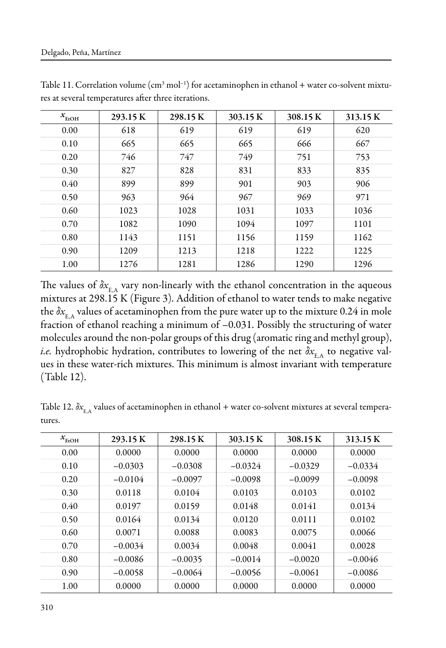| $x_{\text{EtOH}}$ | 293.15 K | 298.15K | 303.15 K | 308.15 K | 313.15 K |
|-------------------|----------|---------|----------|----------|----------|
| 0.00              | 618      | 619     | 619      | 619      | 620      |
| 0.10              | 665      | 665     | 665      | 666      | 667      |
| 0.20              | 746      | 747     | 749      | 751      | 753      |
| 0.30              | 827      | 828     | 831      | 833      | 835      |
| 0.40              | 899      | 899     | 901      | 903      | 906      |
| 0.50              | 963      | 964     | 967      | 969      | 971      |
| 0.60              | 1023     | 1028    | 1031     | 1033     | 1036     |
| 0.70              | 1082     | 1090    | 1094     | 1097     | 1101     |
| 0.80              | 1143     | 1151    | 1156     | 1159     | 1162     |
| 0.90              | 1209     | 1213    | 1218     | 1222     | 1225     |
| 1.00              | 1276     | 1281    | 1286     | 1290     | 1296     |

Table 11. Correlation volume  $(cm<sup>3</sup> mol<sup>-1</sup>)$  for acetaminophen in ethanol + water co-solvent mixtures at several temperatures after three iterations.

The values of  $\delta x_{E_A}$  vary non-linearly with the ethanol concentration in the aqueous mixtures at 298.15 K (Figure 3). Addition of ethanol to water tends to make negative the  $\delta x_{E_A}$  values of acetaminophen from the pure water up to the mixture 0.24 in mole fraction of ethanol reaching a minimum of –0.031. Possibly the structuring of water molecules around the non-polar groups of this drug (aromatic ring and methyl group), *i.e.* hydrophobic hydration, contributes to lowering of the net  $\delta x_{E_A}$  to negative values in these water-rich mixtures. This minimum is almost invariant with temperature (Table 12).

Table 12.  $\delta x_{\rm{F.A}}$  values of acetaminophen in ethanol + water co-solvent mixtures at several temperatures.

| $x_{\text{EtOH}}$ | 293.15 K  | 298.15 K  | 303.15 K  | 308.15 K  | 313.15 K  |
|-------------------|-----------|-----------|-----------|-----------|-----------|
| 0.00              | 0.0000    | 0.0000    | 0.0000    | 0.0000    | 0.0000    |
| 0.10              | $-0.0303$ | $-0.0308$ | $-0.0324$ | $-0.0329$ | $-0.0334$ |
| 0.20              | $-0.0104$ | $-0.0097$ | $-0.0098$ | $-0.0099$ | $-0.0098$ |
| 0.30              | 0.0118    | 0.0104    | 0.0103    | 0.0103    | 0.0102    |
| 0.40              | 0.0197    | 0.0159    | 0.0148    | 0.0141    | 0.0134    |
| 0.50              | 0.0164    | 0.0134    | 0.0120    | 0.0111    | 0.0102    |
| 0.60              | 0.0071    | 0.0088    | 0.0083    | 0.0075    | 0.0066    |
| 0.70              | $-0.0034$ | 0.0034    | 0.0048    | 0.0041    | 0.0028    |
| 0.80              | $-0.0086$ | $-0.0035$ | $-0.0014$ | $-0.0020$ | $-0.0046$ |
| 0.90              | $-0.0058$ | $-0.0064$ | $-0.0056$ | $-0.0061$ | $-0.0086$ |
| 1.00              | 0.0000    | 0.0000    | 0.0000    | 0.0000    | 0.0000    |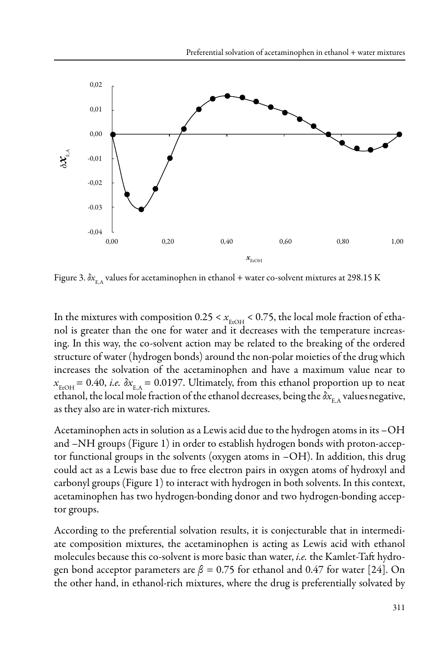

Figure 3.  $\delta x_{E_A}$  values for acetaminophen in ethanol + water co-solvent mixtures at 298.15 K

In the mixtures with composition  $0.25 < x_{\text{EroH}} < 0.75$ , the local mole fraction of ethanol is greater than the one for water and it decreases with the temperature increasing. In this way, the co-solvent action may be related to the breaking of the ordered structure of water (hydrogen bonds) around the non-polar moieties of the drug which increases the solvation of the acetaminophen and have a maximum value near to  $x_{\text{\tiny F}.\text{OH}} = 0.40$ , *i.e.*  $\delta x_{\text{\tiny E.A}} = 0.0197$ . Ultimately, from this ethanol proportion up to neat ethanol, the local mole fraction of the ethanol decreases, being the  $\delta x_{\rm E.A}$  values negative, as they also are in water-rich mixtures.

Acetaminophen acts in solution as a Lewis acid due to the hydrogen atoms in its –OH and –NH groups (Figure 1) in order to establish hydrogen bonds with proton-acceptor functional groups in the solvents (oxygen atoms in –OH). In addition, this drug could act as a Lewis base due to free electron pairs in oxygen atoms of hydroxyl and carbonyl groups (Figure 1) to interact with hydrogen in both solvents. In this context, acetaminophen has two hydrogen-bonding donor and two hydrogen-bonding acceptor groups.

According to the preferential solvation results, it is conjecturable that in intermediate composition mixtures, the acetaminophen is acting as Lewis acid with ethanol molecules because this co-solvent is more basic than water, *i.e.* the Kamlet-Taft hydrogen bond acceptor parameters are *β =* 0.75 for ethanol and 0.47 for water [24]. On the other hand, in ethanol-rich mixtures, where the drug is preferentially solvated by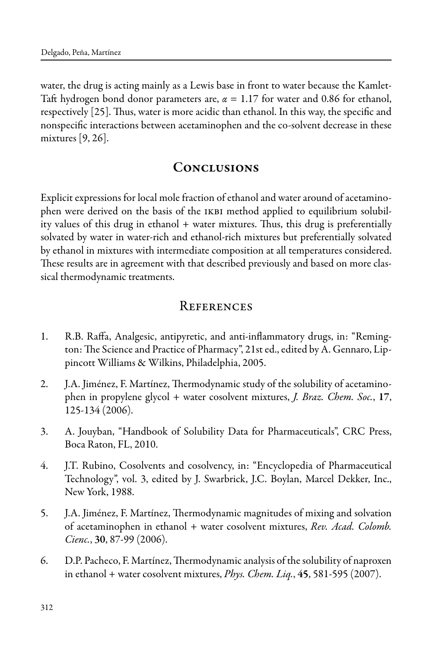water, the drug is acting mainly as a Lewis base in front to water because the Kamlet-Taft hydrogen bond donor parameters are, *α* = 1.17 for water and 0.86 for ethanol, respectively [25]. Thus, water is more acidic than ethanol. In this way, the specific and nonspecific interactions between acetaminophen and the co-solvent decrease in these mixtures [9, 26].

#### **CONCLUSIONS**

Explicit expressions for local mole fraction of ethanol and water around of acetaminophen were derived on the basis of the IKBI method applied to equilibrium solubility values of this drug in ethanol + water mixtures. Thus, this drug is preferentially solvated by water in water-rich and ethanol-rich mixtures but preferentially solvated by ethanol in mixtures with intermediate composition at all temperatures considered. These results are in agreement with that described previously and based on more classical thermodynamic treatments.

#### **REFERENCES**

- 1. R.B. Raffa, Analgesic, antipyretic, and anti-inflammatory drugs, in: "Remington: The Science and Practice of Pharmacy", 21st ed., edited by A. Gennaro, Lippincott Williams & Wilkins, Philadelphia, 2005.
- 2. J.A. Jiménez, F. Martínez, Thermodynamic study of the solubility of acetaminophen in propylene glycol + water cosolvent mixtures, *J. Braz. Chem. Soc.*, 17, 125-134 (2006).
- 3. A. Jouyban, "Handbook of Solubility Data for Pharmaceuticals", CRC Press, Boca Raton, FL, 2010.
- 4. J.T. Rubino, Cosolvents and cosolvency, in: "Encyclopedia of Pharmaceutical Technology", vol. 3, edited by J. Swarbrick, J.C. Boylan, Marcel Dekker, Inc., New York, 1988.
- 5. J.A. Jiménez, F. Martínez, Thermodynamic magnitudes of mixing and solvation of acetaminophen in ethanol + water cosolvent mixtures, *Rev. Acad. Colomb. Cienc.*, 30, 87-99 (2006).
- 6. D.P. Pacheco, F. Martínez, Thermodynamic analysis of the solubility of naproxen in ethanol + water cosolvent mixtures, *Phys. Chem. Liq.*, 45, 581-595 (2007).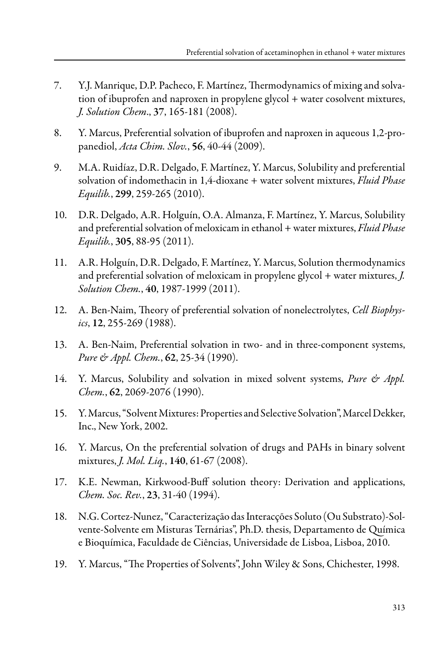- 7. Y.J. Manrique, D.P. Pacheco, F. Martínez, Thermodynamics of mixing and solvation of ibuprofen and naproxen in propylene glycol + water cosolvent mixtures, *J. Solution Chem*., 37, 165-181 (2008).
- 8. Y. Marcus, Preferential solvation of ibuprofen and naproxen in aqueous 1,2-propanediol, *Acta Chim. Slov.*, 56, 40-44 (2009).
- 9. M.A. Ruidíaz, D.R. Delgado, F. Martínez, Y. Marcus, Solubility and preferential solvation of indomethacin in 1,4-dioxane + water solvent mixtures, *Fluid Phase Equilib.*, 299, 259-265 (2010).
- 10. D.R. Delgado, A.R. Holguín, O.A. Almanza, F. Martínez, Y. Marcus, Solubility and preferential solvation of meloxicam in ethanol + water mixtures, *Fluid Phase Equilib.*, 305, 88-95 (2011).
- 11. A.R. Holguín, D.R. Delgado, F. Martínez, Y. Marcus, Solution thermodynamics and preferential solvation of meloxicam in propylene glycol + water mixtures, *J. Solution Chem.*, 40, 1987-1999 (2011).
- 12. A. Ben-Naim, Theory of preferential solvation of nonelectrolytes, *Cell Biophysics*, 12, 255-269 (1988).
- 13. A. Ben-Naim, Preferential solvation in two- and in three-component systems, *Pure & Appl. Chem.*, 62, 25-34 (1990).
- 14. Y. Marcus, Solubility and solvation in mixed solvent systems, *Pure & Appl. Chem.*, 62, 2069-2076 (1990).
- 15. Y. Marcus, "Solvent Mixtures: Properties and Selective Solvation", Marcel Dekker, Inc., New York, 2002.
- 16. Y. Marcus, On the preferential solvation of drugs and PAHs in binary solvent mixtures, *J. Mol. Liq.*, 140, 61-67 (2008).
- 17. K.E. Newman, Kirkwood-Buff solution theory: Derivation and applications, *Chem. Soc. Rev.*, 23, 31-40 (1994).
- 18. N.G. Cortez-Nunez, "Caracterização das Interacções Soluto (Ou Substrato)-Solvente-Solvente em Misturas Ternárias", Ph.D. thesis, Departamento de Química e Bioquímica, Faculdade de Ciências, Universidade de Lisboa, Lisboa, 2010.
- 19. Y. Marcus, "The Properties of Solvents", John Wiley & Sons, Chichester, 1998.